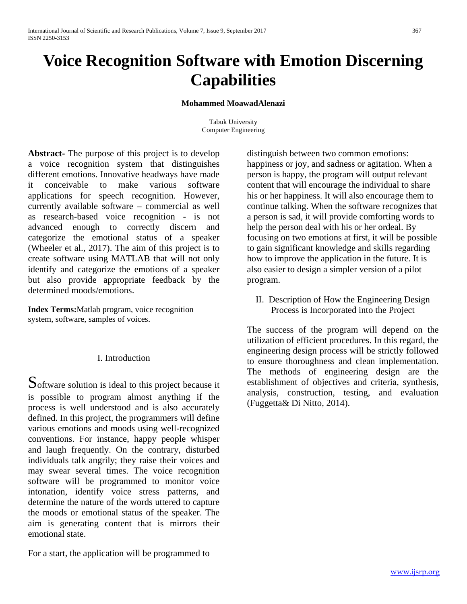# **Voice Recognition Software with Emotion Discerning Capabilities**

#### **Mohammed MoawadAlenazi**

Tabuk University Computer Engineering

**Abstract-** The purpose of this project is to develop a voice recognition system that distinguishes different emotions. Innovative headways have made it conceivable to make various software applications for speech recognition. However, currently available software – commercial as well as research-based voice recognition - is not advanced enough to correctly discern and categorize the emotional status of a speaker (Wheeler et al., 2017). The aim of this project is to create software using MATLAB that will not only identify and categorize the emotions of a speaker but also provide appropriate feedback by the determined moods/emotions.

**Index Terms:**Matlab program, voice recognition system, software, samples of voices.

#### I. Introduction

Software solution is ideal to this project because it is possible to program almost anything if the process is well understood and is also accurately defined. In this project, the programmers will define various emotions and moods using well-recognized conventions. For instance, happy people whisper and laugh frequently. On the contrary, disturbed individuals talk angrily; they raise their voices and may swear several times. The voice recognition software will be programmed to monitor voice intonation, identify voice stress patterns, and determine the nature of the words uttered to capture the moods or emotional status of the speaker. The aim is generating content that is mirrors their emotional state.

For a start, the application will be programmed to

distinguish between two common emotions: happiness or joy, and sadness or agitation. When a person is happy, the program will output relevant content that will encourage the individual to share his or her happiness. It will also encourage them to continue talking. When the software recognizes that a person is sad, it will provide comforting words to help the person deal with his or her ordeal. By focusing on two emotions at first, it will be possible to gain significant knowledge and skills regarding how to improve the application in the future. It is also easier to design a simpler version of a pilot program.

II. Description of How the Engineering Design Process is Incorporated into the Project

The success of the program will depend on the utilization of efficient procedures. In this regard, the engineering design process will be strictly followed to ensure thoroughness and clean implementation. The methods of engineering design are the establishment of objectives and criteria, synthesis, analysis, construction, testing, and evaluation (Fuggetta& Di Nitto, 2014).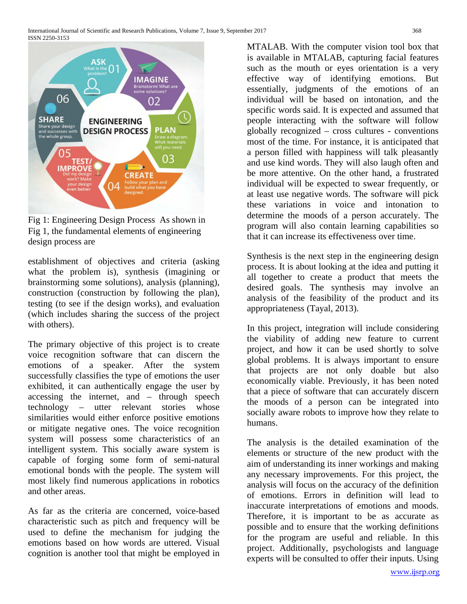

Fig 1: Engineering Design Process As shown in Fig 1, the fundamental elements of engineering design process are

establishment of objectives and criteria (asking what the problem is), synthesis (imagining or brainstorming some solutions), analysis (planning), construction (construction by following the plan), testing (to see if the design works), and evaluation (which includes sharing the success of the project with others).

The primary objective of this project is to create voice recognition software that can discern the emotions of a speaker. After the system successfully classifies the type of emotions the user exhibited, it can authentically engage the user by accessing the internet, and – through speech technology – utter relevant stories whose similarities would either enforce positive emotions or mitigate negative ones. The voice recognition system will possess some characteristics of an intelligent system. This socially aware system is capable of forging some form of semi-natural emotional bonds with the people. The system will most likely find numerous applications in robotics and other areas.

As far as the criteria are concerned, voice-based characteristic such as pitch and frequency will be used to define the mechanism for judging the emotions based on how words are uttered. Visual cognition is another tool that might be employed in

MTALAB. With the computer vision tool box that is available in MTALAB, capturing facial features such as the mouth or eyes orientation is a very effective way of identifying emotions. But essentially, judgments of the emotions of an individual will be based on intonation, and the specific words said. It is expected and assumed that people interacting with the software will follow globally recognized – cross cultures - conventions most of the time. For instance, it is anticipated that a person filled with happiness will talk pleasantly and use kind words. They will also laugh often and be more attentive. On the other hand, a frustrated individual will be expected to swear frequently, or at least use negative words. The software will pick these variations in voice and intonation to determine the moods of a person accurately. The program will also contain learning capabilities so that it can increase its effectiveness over time.

Synthesis is the next step in the engineering design process. It is about looking at the idea and putting it all together to create a product that meets the desired goals. The synthesis may involve an analysis of the feasibility of the product and its appropriateness (Tayal, 2013).

In this project, integration will include considering the viability of adding new feature to current project, and how it can be used shortly to solve global problems. It is always important to ensure that projects are not only doable but also economically viable. Previously, it has been noted that a piece of software that can accurately discern the moods of a person can be integrated into socially aware robots to improve how they relate to humans.

The analysis is the detailed examination of the elements or structure of the new product with the aim of understanding its inner workings and making any necessary improvements. For this project, the analysis will focus on the accuracy of the definition of emotions. Errors in definition will lead to inaccurate interpretations of emotions and moods. Therefore, it is important to be as accurate as possible and to ensure that the working definitions for the program are useful and reliable. In this project. Additionally, psychologists and language experts will be consulted to offer their inputs. Using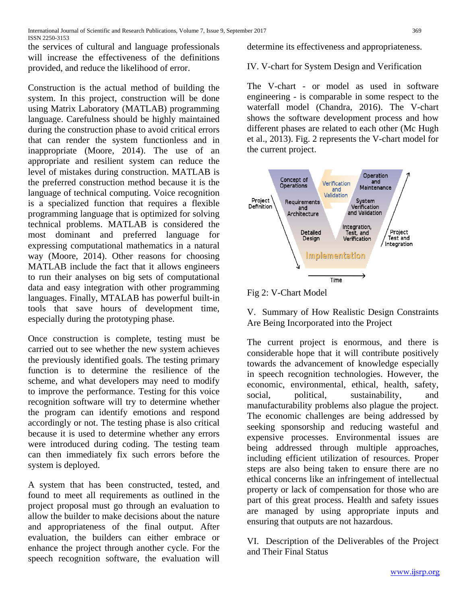the services of cultural and language professionals will increase the effectiveness of the definitions provided, and reduce the likelihood of error.

Construction is the actual method of building the system. In this project, construction will be done using Matrix Laboratory (MATLAB) programming language. Carefulness should be highly maintained during the construction phase to avoid critical errors that can render the system functionless and in inappropriate (Moore, 2014). The use of an appropriate and resilient system can reduce the level of mistakes during construction. MATLAB is the preferred construction method because it is the language of technical computing. Voice recognition is a specialized function that requires a flexible programming language that is optimized for solving technical problems. MATLAB is considered the most dominant and preferred language for expressing computational mathematics in a natural way (Moore, 2014). Other reasons for choosing MATLAB include the fact that it allows engineers to run their analyses on big sets of computational data and easy integration with other programming languages. Finally, MTALAB has powerful built-in tools that save hours of development time, especially during the prototyping phase.

Once construction is complete, testing must be carried out to see whether the new system achieves the previously identified goals. The testing primary function is to determine the resilience of the scheme, and what developers may need to modify to improve the performance. Testing for this voice recognition software will try to determine whether the program can identify emotions and respond accordingly or not. The testing phase is also critical because it is used to determine whether any errors were introduced during coding. The testing team can then immediately fix such errors before the system is deployed.

A system that has been constructed, tested, and found to meet all requirements as outlined in the project proposal must go through an evaluation to allow the builder to make decisions about the nature and appropriateness of the final output. After evaluation, the builders can either embrace or enhance the project through another cycle. For the speech recognition software, the evaluation will

determine its effectiveness and appropriateness.

IV. V-chart for System Design and Verification

The V-chart - or model as used in software engineering - is comparable in some respect to the waterfall model (Chandra, 2016). The V-chart shows the software development process and how different phases are related to each other (Mc Hugh et al., 2013). Fig. 2 represents the V-chart model for the current project.



### Fig 2: V-Chart Model

# V. Summary of How Realistic Design Constraints Are Being Incorporated into the Project

The current project is enormous, and there is considerable hope that it will contribute positively towards the advancement of knowledge especially in speech recognition technologies. However, the economic, environmental, ethical, health, safety, social, political, sustainability, and manufacturability problems also plague the project. The economic challenges are being addressed by seeking sponsorship and reducing wasteful and expensive processes. Environmental issues are being addressed through multiple approaches, including efficient utilization of resources. Proper steps are also being taken to ensure there are no ethical concerns like an infringement of intellectual property or lack of compensation for those who are part of this great process. Health and safety issues are managed by using appropriate inputs and ensuring that outputs are not hazardous.

VI. Description of the Deliverables of the Project and Their Final Status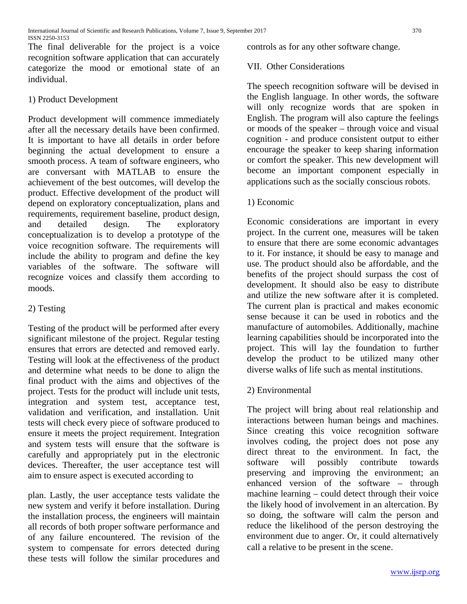The final deliverable for the project is a voice recognition software application that can accurately categorize the mood or emotional state of an individual.

### 1) Product Development

Product development will commence immediately after all the necessary details have been confirmed. It is important to have all details in order before beginning the actual development to ensure a smooth process. A team of software engineers, who are conversant with MATLAB to ensure the achievement of the best outcomes, will develop the product. Effective development of the product will depend on exploratory conceptualization, plans and requirements, requirement baseline, product design, and detailed design. The exploratory conceptualization is to develop a prototype of the voice recognition software. The requirements will include the ability to program and define the key variables of the software. The software will recognize voices and classify them according to moods.

## 2) Testing

Testing of the product will be performed after every significant milestone of the project. Regular testing ensures that errors are detected and removed early. Testing will look at the effectiveness of the product and determine what needs to be done to align the final product with the aims and objectives of the project. Tests for the product will include unit tests, integration and system test, acceptance test, validation and verification, and installation. Unit tests will check every piece of software produced to ensure it meets the project requirement. Integration and system tests will ensure that the software is carefully and appropriately put in the electronic devices. Thereafter, the user acceptance test will aim to ensure aspect is executed according to

plan. Lastly, the user acceptance tests validate the new system and verify it before installation. During the installation process, the engineers will maintain all records of both proper software performance and of any failure encountered. The revision of the system to compensate for errors detected during these tests will follow the similar procedures and

controls as for any other software change.

### VII. Other Considerations

The speech recognition software will be devised in the English language. In other words, the software will only recognize words that are spoken in English. The program will also capture the feelings or moods of the speaker – through voice and visual cognition - and produce consistent output to either encourage the speaker to keep sharing information or comfort the speaker. This new development will become an important component especially in applications such as the socially conscious robots.

### 1) Economic

Economic considerations are important in every project. In the current one, measures will be taken to ensure that there are some economic advantages to it. For instance, it should be easy to manage and use. The product should also be affordable, and the benefits of the project should surpass the cost of development. It should also be easy to distribute and utilize the new software after it is completed. The current plan is practical and makes economic sense because it can be used in robotics and the manufacture of automobiles. Additionally, machine learning capabilities should be incorporated into the project. This will lay the foundation to further develop the product to be utilized many other diverse walks of life such as mental institutions.

### 2) Environmental

The project will bring about real relationship and interactions between human beings and machines. Since creating this voice recognition software involves coding, the project does not pose any direct threat to the environment. In fact, the software will possibly contribute towards preserving and improving the environment; an enhanced version of the software – through machine learning – could detect through their voice the likely hood of involvement in an altercation. By so doing, the software will calm the person and reduce the likelihood of the person destroying the environment due to anger. Or, it could alternatively call a relative to be present in the scene.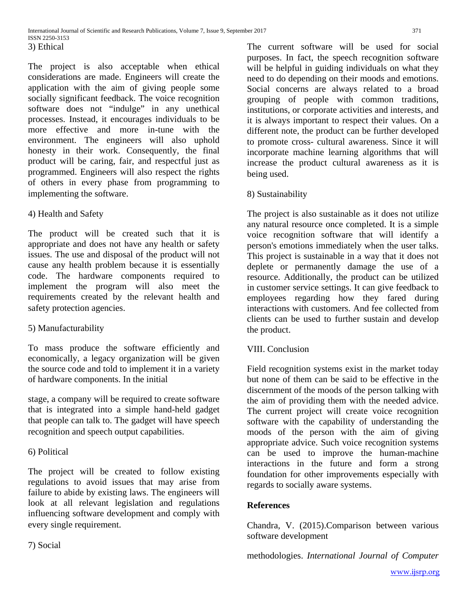The project is also acceptable when ethical considerations are made. Engineers will create the application with the aim of giving people some socially significant feedback. The voice recognition software does not "indulge" in any unethical processes. Instead, it encourages individuals to be more effective and more in-tune with the environment. The engineers will also uphold honesty in their work. Consequently, the final product will be caring, fair, and respectful just as programmed. Engineers will also respect the rights of others in every phase from programming to implementing the software.

## 4) Health and Safety

The product will be created such that it is appropriate and does not have any health or safety issues. The use and disposal of the product will not cause any health problem because it is essentially code. The hardware components required to implement the program will also meet the requirements created by the relevant health and safety protection agencies.

## 5) Manufacturability

To mass produce the software efficiently and economically, a legacy organization will be given the source code and told to implement it in a variety of hardware components. In the initial

stage, a company will be required to create software that is integrated into a simple hand-held gadget that people can talk to. The gadget will have speech recognition and speech output capabilities.

## 6) Political

The project will be created to follow existing regulations to avoid issues that may arise from failure to abide by existing laws. The engineers will look at all relevant legislation and regulations influencing software development and comply with every single requirement.

7) Social

The current software will be used for social purposes. In fact, the speech recognition software will be helpful in guiding individuals on what they need to do depending on their moods and emotions. Social concerns are always related to a broad grouping of people with common traditions, institutions, or corporate activities and interests, and it is always important to respect their values. On a different note, the product can be further developed to promote cross- cultural awareness. Since it will incorporate machine learning algorithms that will increase the product cultural awareness as it is being used.

## 8) Sustainability

The project is also sustainable as it does not utilize any natural resource once completed. It is a simple voice recognition software that will identify a person's emotions immediately when the user talks. This project is sustainable in a way that it does not deplete or permanently damage the use of a resource. Additionally, the product can be utilized in customer service settings. It can give feedback to employees regarding how they fared during interactions with customers. And fee collected from clients can be used to further sustain and develop the product.

### VIII. Conclusion

Field recognition systems exist in the market today but none of them can be said to be effective in the discernment of the moods of the person talking with the aim of providing them with the needed advice. The current project will create voice recognition software with the capability of understanding the moods of the person with the aim of giving appropriate advice. Such voice recognition systems can be used to improve the human-machine interactions in the future and form a strong foundation for other improvements especially with regards to socially aware systems.

### **References**

Chandra, V. (2015).Comparison between various software development

methodologies. *International Journal of Computer*